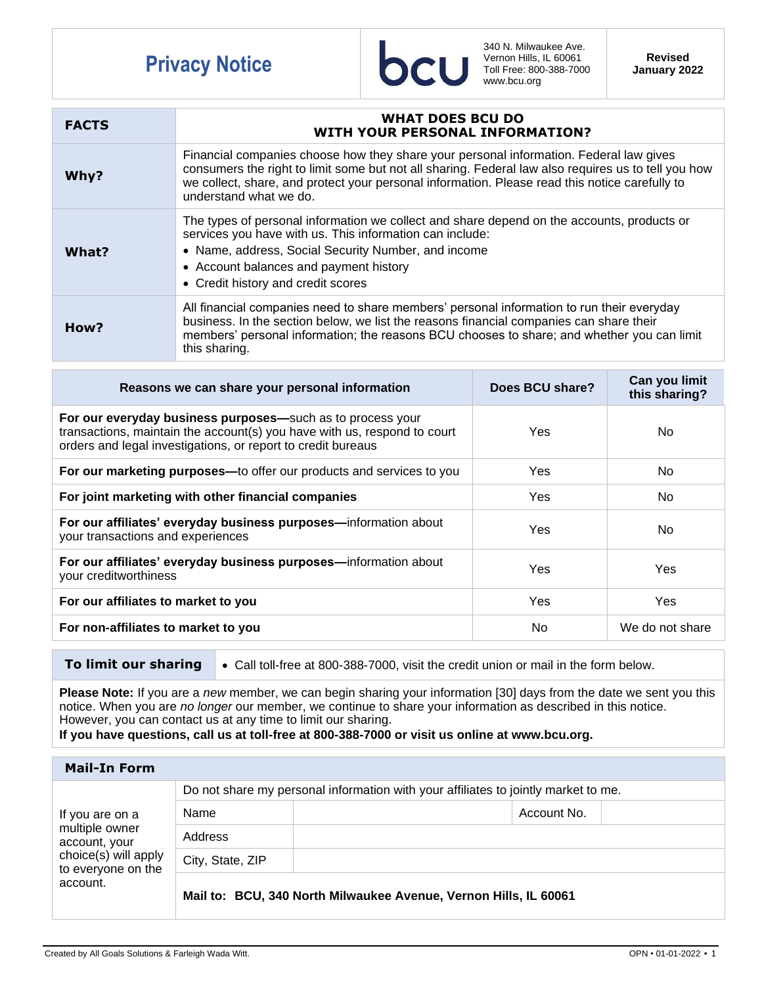## **Privacy Notice**



340 N. Milwaukee Ave. Vernon Hills, IL 60061 Toll Free: 800-388-7000 www.bcu.org

**Revised January 2022**

| <b>FACTS</b> | <b>WHAT DOES BCU DO</b><br><b>WITH YOUR PERSONAL INFORMATION?</b>                                                                                                                                                                                                                                                         |
|--------------|---------------------------------------------------------------------------------------------------------------------------------------------------------------------------------------------------------------------------------------------------------------------------------------------------------------------------|
| Why?         | Financial companies choose how they share your personal information. Federal law gives<br>consumers the right to limit some but not all sharing. Federal law also requires us to tell you how<br>we collect, share, and protect your personal information. Please read this notice carefully to<br>understand what we do. |
| What?        | The types of personal information we collect and share depend on the accounts, products or<br>services you have with us. This information can include:<br>• Name, address, Social Security Number, and income<br>• Account balances and payment history<br>• Credit history and credit scores                             |
| How?         | All financial companies need to share members' personal information to run their everyday<br>business. In the section below, we list the reasons financial companies can share their<br>members' personal information; the reasons BCU chooses to share; and whether you can limit<br>this sharing.                       |

| Reasons we can share your personal information                                                                                                                                                         | Does BCU share? | Can you limit<br>this sharing? |
|--------------------------------------------------------------------------------------------------------------------------------------------------------------------------------------------------------|-----------------|--------------------------------|
| For our everyday business purposes—such as to process your<br>transactions, maintain the account(s) you have with us, respond to court<br>orders and legal investigations, or report to credit bureaus | Yes.            | No.                            |
| For our marketing purposes—to offer our products and services to you                                                                                                                                   | Yes             | No.                            |
| For joint marketing with other financial companies                                                                                                                                                     | Yes             | No.                            |
| For our affiliates' everyday business purposes-information about<br>your transactions and experiences                                                                                                  | Yes             | No.                            |
| For our affiliates' everyday business purposes-information about<br>your creditworthiness                                                                                                              | Yes             | <b>Yes</b>                     |
| For our affiliates to market to you                                                                                                                                                                    | Yes             | <b>Yes</b>                     |
| For non-affiliates to market to you                                                                                                                                                                    | No              | We do not share                |

- 
- **To limit our sharing**  $\bullet$  Call toll-free at 800-388-7000, visit the credit union or mail in the form below.

**Please Note:** If you are a *new* member, we can begin sharing your information [30] days from the date we sent you this notice. When you are *no longer* our member, we continue to share your information as described in this notice. However, you can contact us at any time to limit our sharing.

**If you have questions, call us at toll-free at 800-388-7000 or visit us online at www.bcu.org.**

| Mail-In Form                                                                                                 |                                                                                    |             |  |  |  |
|--------------------------------------------------------------------------------------------------------------|------------------------------------------------------------------------------------|-------------|--|--|--|
| If you are on a<br>multiple owner<br>account, your<br>choice(s) will apply<br>to everyone on the<br>account. | Do not share my personal information with your affiliates to jointly market to me. |             |  |  |  |
|                                                                                                              | Name                                                                               | Account No. |  |  |  |
|                                                                                                              | Address                                                                            |             |  |  |  |
|                                                                                                              | City, State, ZIP                                                                   |             |  |  |  |
|                                                                                                              | Mail to: BCU, 340 North Milwaukee Avenue, Vernon Hills, IL 60061                   |             |  |  |  |